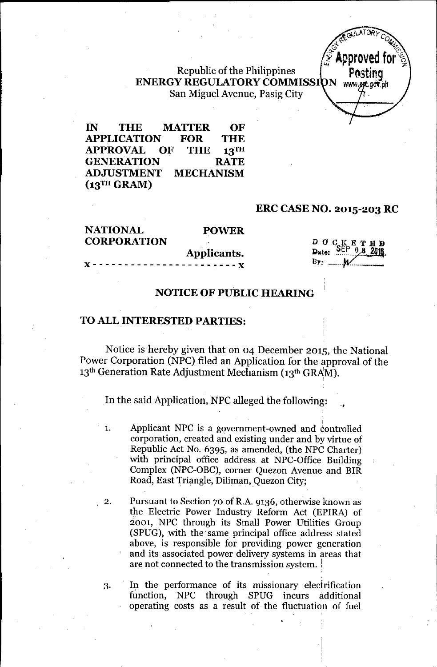#### Republic of the Philippines **ENERGY REGULATORY COMMISSI** San Miguel Avenue, Pasig City

**IN THE MATfER OF APPLICATION FOR THE APPROVAL OF THE 13TH GENERATION RATE ADJUSTMENT MECHANISM** (13TH GRAM)

#### **ERC CASE NO. 2015-203 RC**

**NATIONAL CORPORATION**

#### **POWER**

**Applicants.**

 $\mathbf{D}$   $\mathbf{U}$   $\mathbf{C}$  $E$  T B D Date:

#### **NOTICE OF PUBLIC HEARING**

#### **TO ALL INTERESTED PARTIES:**

)( - - - - - - - - - - - - - - - - - - - - - - - )(

Notice is hereby given that on 04 December 2015, the National Power Corporation (NPC) filed an Application for the approval of the 13<sup>th</sup> Generation Rate Adjustment Mechanism (13<sup>th</sup> GRAM).

In the said Application, NPC alleged the following:

1. Applicant NPC is a government-owned and controlled corporation, created and existing under and by virtue of Republic Act No. 6395, as amended, (the NPC Charter) with principal office address at NPC-Office Building Complex (NPC-OBC), corner Quezon Avenue and BIR Road, East Triangle, Diliman, Quezon City;

2. Pursuant to Section 70 of R.A.9136, otherwise known as the Electric Power Industry Reform Act (EPIRA) of 2001, NPC through its Small Power Utilities Group (SPUG), with the" same principal office address stated above, is responsible for providing power generation and its associated power delivery systems in areas that are not connected to the transmission system. <sup>1</sup>

3. In the performance of its missionary electrification function, NPC through SPUG incurs additional operating costs as a result of the fluctuation of fuel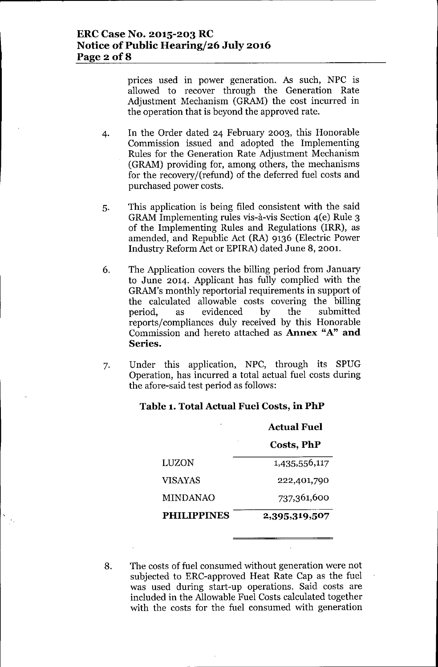prices used in power generation. As such, NPC is allowed to recover through the Generation Rate Adjustment Mechanism (GRAM) the cost incurred in the operation that is beyond the approved rate.

- 4. In the Order dated 24 February 2003, this Honorable Commission issued and adopted the Implementing Rules for the Generation Rate Adjustment Mechanism (GRAM) providing for, among others, the mechanisms for the recovery/(refund) of the deferred fuel costs and purchased power costs.
- 5. This application is being filed consistent with the said GRAMImplementing rules vis-a-vis Section 4(e) Rule 3 of the Implementing Rules and Regulations (IRR), as amended, and Republic Act (RA) 9136 (Electric Power Industry Reform Act or EPIRA) dated June 8, 2001.
- 6. The Application covers the billing period from January to June 2014. Applicant has fully complied with the GRAM's monthly reportorial requirements in support of the calculated allowable costs covering the billing period, as evidenced by the submitted reports/compliances duly received by this Honorable Commission and hereto attached as **Annex** "A" **and Series.**
- 7. Under this application, NPC, through its SPUG Operation, has incurred a total actual fuel costs during the afore-said test period as follows:

|                    | <b>Actual Fuel</b> |  |
|--------------------|--------------------|--|
|                    | Costs, PhP         |  |
| LUZON              | 1,435,556,117      |  |
| <b>VISAYAS</b>     | 222,401,790        |  |
| <b>MINDANAO</b>    | 737,361,600        |  |
| <b>PHILIPPINES</b> | 2,395,319,507      |  |

#### **Table 1. Total Aetual Fuel Costs, in PhP**

<sup>8.</sup> The costs of fuel consumed without generation were not subjected to ERC-approved Heat Rate Cap as the fuel was used during start-up operations. Said costs are included in the Allowable Fuel Costs calculated together with the costs for the fuel consumed with generation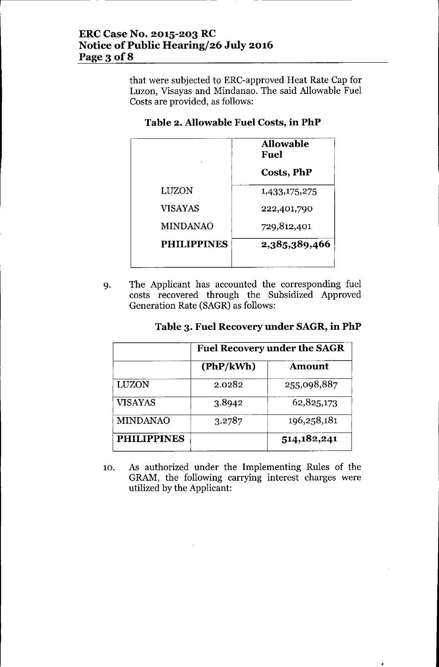## **ERC Case No. 2015-203 RC Notice** of Public **Hearing/26 July 2016** Page 3 **of8**

that were subjected to ERC-approved Heat Rate Cap for Luzon, Visayas and Mindanao. The said Allowable Fuel Costs are provided, as follows:

### **Table 2. Allowable Fuel Costs, in PhP**

|                    | <b>Allowable</b><br>Fuel |
|--------------------|--------------------------|
|                    | <b>Costs, PhP</b>        |
| LUZON              | 1,433,175,275            |
| <b>VISAYAS</b>     | 222,401,790              |
| <b>MINDANAO</b>    | 729,812,401              |
| <b>PHILIPPINES</b> | 2,385,389,466            |

9. The Applicant has accounted the corresponding fuel costs recovered through the Subsidized Approved Generation Rate (SAGR) as follows:

|  | Table 3. Fuel Recovery under SAGR, in PhP |  |  |
|--|-------------------------------------------|--|--|
|--|-------------------------------------------|--|--|

|                    | <b>Fuel Recovery under the SAGR</b> |               |
|--------------------|-------------------------------------|---------------|
|                    | (PhP/kWh)                           | <b>Amount</b> |
| LUZON              | 2.0282                              | 255,098,887   |
| VISAYAS            | 3.8942                              | 62,825,173    |
| <b>MINDANAO</b>    | 3.2787                              | 196,258,181   |
| <b>PHILIPPINES</b> |                                     | 514, 182, 241 |

10. As authorized under the Implementing Rules of the GRAM, the following carrying interest charges were utilized by the Applicant: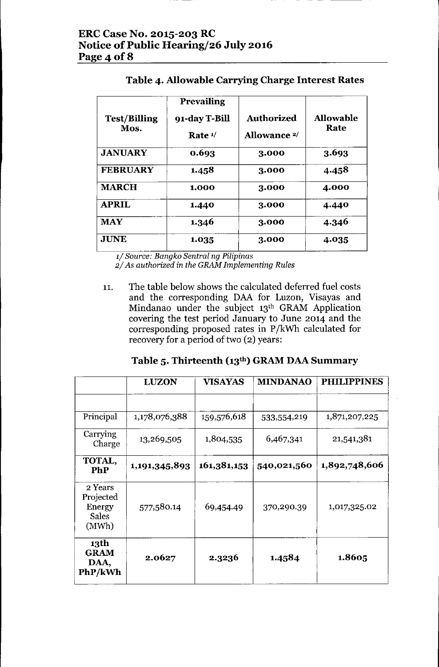| <b>Test/Billing</b><br>Mos. | <b>Prevailing</b><br>91-day T-Bill<br>Rate $1/$ | <b>Authorized</b><br>Allowance <sup>2/</sup> | <b>Allowable</b><br>Rate |
|-----------------------------|-------------------------------------------------|----------------------------------------------|--------------------------|
| <b>JANUARY</b>              | 0.693                                           | 3.000                                        | 3.693                    |
| <b>FEBRUARY</b>             | 1.458                                           | 3.000                                        | 4.458                    |
| <b>MARCH</b>                | 1.000                                           | 3.000                                        | 4.000                    |
| <b>APRIL</b>                | 1.440                                           | 3.000                                        | 4.440                    |
| <b>MAY</b>                  | 1.346                                           | 3.000                                        | 4.346                    |
| <b>JUNE</b>                 | 1.035                                           | 3.000                                        | 4.035                    |

## **Table 4. Allowable Carrying Charge Interest Rates**

*1/ Source: Bangko Sentral ng Pilipinas*

*2/ As authorized in the GRAM Implementing Rules*

11. The table below shows the calculated deferred fuel costs and the corresponding DAA for Luzon, Visayas and Mindanao under the subject 13<sup>th</sup> GRAM Application covering the test period January to June 2014 and the corresponding proposed rates in P/kWh calculated for recovery for a period of two (2) years:

# **Table 5. Thirteenth (13th) GRAM DAA Summary**

|                                                         | <b>LUZON</b>  | <b>VISAYAS</b> | <b>MINDANAO</b> | <b>PHILIPPINES</b> |
|---------------------------------------------------------|---------------|----------------|-----------------|--------------------|
|                                                         |               |                |                 |                    |
| Principal                                               | 1,178,076,388 | 159,576,618    | 533,554,219     | 1,871,207,225      |
| Carrying<br>Charge                                      | 13,269,505    | 1,804,535      | 6,467,341       | 21,541,381         |
| TOTAL,<br>PhP                                           | 1,191,345,893 | 161,381,153    | 540,021,560     | 1,892,748,606      |
| 2 Years<br>Projected<br>Energy<br><b>Sales</b><br>(MWh) | 577,580.14    | 69,454.49      | 370,290.39      | 1,017,325.02       |
| 13th<br><b>GRAM</b><br>DAA,<br>PhP/kWh                  | 2.0627        | 2.3236         | 1.4584          | 1.8605             |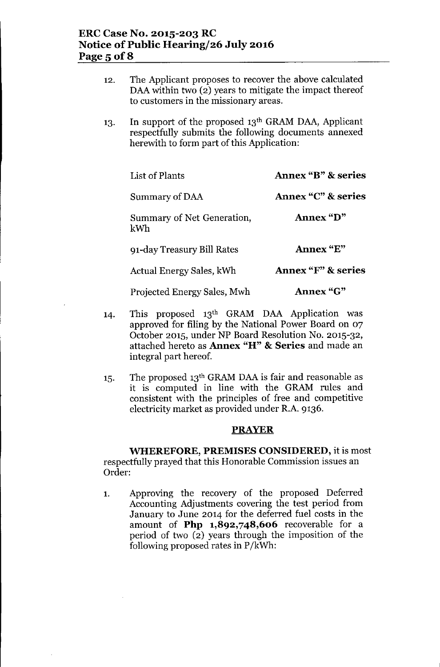| 12. | The Applicant proposes to recover the above calculated<br>DAA within two (2) years to mitigate the impact thereof<br>to customers in the missionary areas.            |                               |  |
|-----|-----------------------------------------------------------------------------------------------------------------------------------------------------------------------|-------------------------------|--|
| 13. | In support of the proposed 13 <sup>th</sup> GRAM DAA, Applicant<br>respectfully submits the following documents annexed<br>herewith to form part of this Application: |                               |  |
|     | List of Plants                                                                                                                                                        | <b>Annex "B" &amp; series</b> |  |
|     | Summary of DAA                                                                                                                                                        | <b>Annex "C" &amp; series</b> |  |
|     | Summary of Net Generation,<br>kWh                                                                                                                                     | Annex "D"                     |  |
|     | 91-day Treasury Bill Rates                                                                                                                                            | Annex "E"                     |  |
|     | Actual Energy Sales, kWh                                                                                                                                              | Annex "F" & series            |  |
|     | Projected Energy Sales, Mwh                                                                                                                                           | <b>Annex "G"</b>              |  |

- 14. This proposed 13th GRAM DAA Application was approved for filing by the National Power Board on 07 October 2015, under NP Board Resolution No. 2015-32, attached hereto as Annex "H" & Series and made an integral part hereof.
- 15. The proposed 13<sup>th</sup> GRAM DAA is fair and reasonable as it is computed in line with the GRAM rules and consistent with the principles of free and competitive electricity market as provided under R.A. 9136.

#### **PRAYER**

WHEREFORE, PREMISES CONSIDERED, it is most respectfully prayed that this Honorable Commission issues an Order:

1. Approving the recovery of the proposed Deferred Accounting Adjustments covering the test period from January to June 2014 for the deferred fuel costs in the amount of Php 1,892,748,606 recoverable for a period of two (2) years through the imposition of the following proposed rates in P/kWh: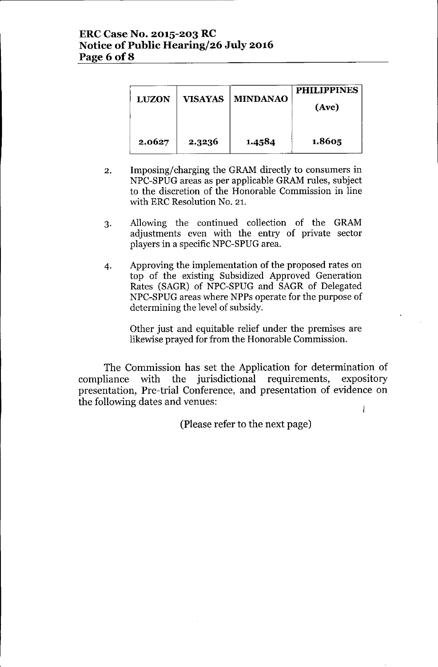### **ERCCase No. 2015-203 RC Notice** of Public **Hearing/26 July 2016 Page 6 of8**

| <b>LUZON</b> | <b>VISAYAS</b> | <b>MINDANAO</b> | <b>PHILIPPINES</b><br>(Ave) |
|--------------|----------------|-----------------|-----------------------------|
| 2.0627       | 2.3236         | 1.4584          | 1.8605                      |

- 2. Imposing/charging the GRAM directly to consumers in NPC-SPUG areas as per applicable GRAM rules, subject to the discretion of the Honorable Commission in line with ERC Resolution No. 21.
- 3. Allowing the continued collection of the GRAM adjustments even with the entry of private sector players in a specific NPC-SPUG area.
- 4. Approving the implementation of the proposed rates on top of the existing Subsidized Approved Generation Rates (SAGR) of NPC-SPUG and SAGR of Delegated NPC-SPUG areas where NPPs operate for the purpose of determining the level of subsidy.

Other just and equitable relief under the premises are likewise prayed for from the Honorable Commission.

The Commission has set the Application for determination of compliance with the jurisdictional requirements, expository presentation, Pre-trial Conference, and presentation of evidence on the following dates and venues:  $\overline{1}$ 

(Please refer to the next page)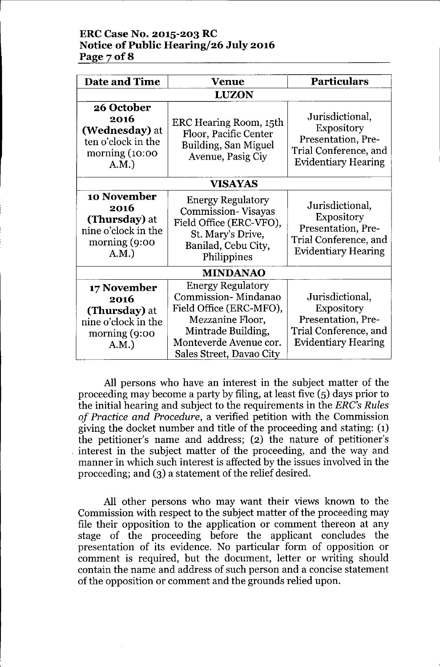### **ERCCase No. 2015-203 RC Notice** of Public **Hearing/26 July 2016 Page70f8**

| <b>Date and Time</b>                                                                    | <b>Venue</b>                                                                                                                                                               | <b>Particulars</b>                                                                                                |  |
|-----------------------------------------------------------------------------------------|----------------------------------------------------------------------------------------------------------------------------------------------------------------------------|-------------------------------------------------------------------------------------------------------------------|--|
|                                                                                         | <b>LUZON</b>                                                                                                                                                               |                                                                                                                   |  |
| 26 October<br>2016<br>(Wednesday) at<br>ten o'clock in the<br>morning $(10:00)$<br>A.M. | ERC Hearing Room, 15th<br>Floor, Pacific Center<br>Building, San Miguel<br>Avenue, Pasig Ciy                                                                               | Jurisdictional,<br><b>Expository</b><br>Presentation, Pre-<br>Trial Conference, and<br><b>Evidentiary Hearing</b> |  |
| VISAYAS                                                                                 |                                                                                                                                                                            |                                                                                                                   |  |
| 10 November<br>2016<br>(Thursday) at<br>nine o'clock in the<br>morning $(9:00)$<br>A.M. | <b>Energy Regulatory</b><br><b>Commission-Visayas</b><br>Field Office (ERC-VFO),<br>St. Mary's Drive,<br>Banilad, Cebu City,<br>Philippines                                |                                                                                                                   |  |
| <b>MINDANAO</b>                                                                         |                                                                                                                                                                            |                                                                                                                   |  |
| 17 November<br>2016<br>(Thursday) at<br>nine o'clock in the<br>morning (9:00<br>A.M.    | <b>Energy Regulatory</b><br>Commission-Mindanao<br>Field Office (ERC-MFO),<br>Mezzanine Floor,<br>Mintrade Building,<br>Monteverde Avenue cor.<br>Sales Street, Davao City | Jurisdictional,<br><b>Expository</b><br>Presentation, Pre-<br>Trial Conference, and<br><b>Evidentiary Hearing</b> |  |

All persons who have an interest in the subject matter of the proceeding may become a party by filing, at least five (5) days prior to the initial hearing and subject to the requirements in the *ERC's Rules of Practice and Procedure,* a verified petition with the Commission giving the docket number and title of the proceeding and stating: (1) the petitioner's name and address; (2) the nature of petitioner's . interest in the subject matter of the proceeding, and the way and manner in which such interest is affected by the issues involved in the proceeding; and (3) a statement of the relief desired.

All other persons who may want their views known to the Commission with respect to the subject matter of the proceeding may file their opposition to the application or comment thereon at any stage of the proceeding before the applicant concludes the presentation of its evidence. No particular form of opposition or comment is required, but the document, letter or writing should contain the name and address of such person and a concise statement of the opposition or comment and the grounds relied upon.